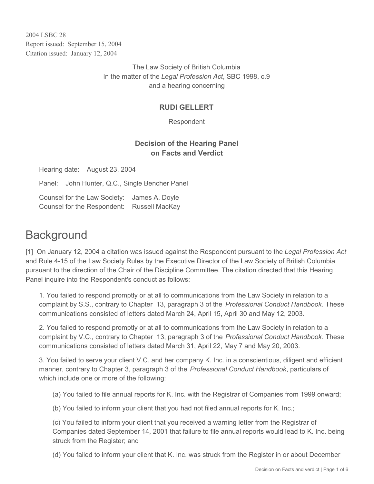2004 LSBC 28 Report issued: September 15, 2004 Citation issued: January 12, 2004

> The Law Society of British Columbia In the matter of the *Legal Profession Act*, SBC 1998, c.9 and a hearing concerning

# **RUDI GELLERT**

Respondent

# **Decision of the Hearing Panel on Facts and Verdict**

Hearing date: August 23, 2004

Panel: John Hunter, Q.C., Single Bencher Panel

Counsel for the Law Society: James A. Doyle Counsel for the Respondent: Russell MacKay

# **Background**

[1] On January 12, 2004 a citation was issued against the Respondent pursuant to the *Legal Profession Act* and Rule 4-15 of the Law Society Rules by the Executive Director of the Law Society of British Columbia pursuant to the direction of the Chair of the Discipline Committee. The citation directed that this Hearing Panel inquire into the Respondent's conduct as follows:

1. You failed to respond promptly or at all to communications from the Law Society in relation to a complaint by S.S., contrary to Chapter 13, paragraph 3 of the *Professional Conduct Handbook*. These communications consisted of letters dated March 24, April 15, April 30 and May 12, 2003.

2. You failed to respond promptly or at all to communications from the Law Society in relation to a complaint by V.C., contrary to Chapter 13, paragraph 3 of the *Professional Conduct Handbook*. These communications consisted of letters dated March 31, April 22, May 7 and May 20, 2003.

3. You failed to serve your client V.C. and her company K. Inc. in a conscientious, diligent and efficient manner, contrary to Chapter 3, paragraph 3 of the *Professional Conduct Handbook*, particulars of which include one or more of the following:

(a) You failed to file annual reports for K. Inc. with the Registrar of Companies from 1999 onward;

(b) You failed to inform your client that you had not filed annual reports for K. Inc.;

(c) You failed to inform your client that you received a warning letter from the Registrar of Companies dated September 14, 2001 that failure to file annual reports would lead to K. Inc. being struck from the Register; and

(d) You failed to inform your client that K. Inc. was struck from the Register in or about December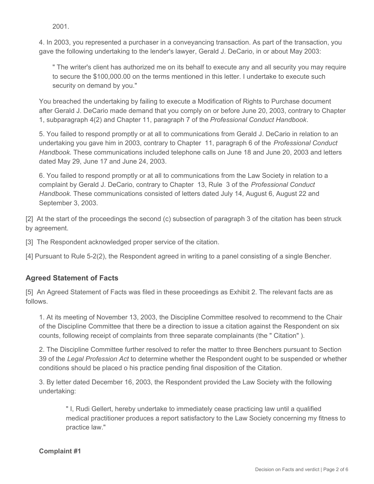2001.

4. In 2003, you represented a purchaser in a conveyancing transaction. As part of the transaction, you gave the following undertaking to the lender's lawyer, Gerald J. DeCario, in or about May 2003:

" The writer's client has authorized me on its behalf to execute any and all security you may require to secure the \$100,000.00 on the terms mentioned in this letter. I undertake to execute such security on demand by you."

You breached the undertaking by failing to execute a Modification of Rights to Purchase document after Gerald J. DeCario made demand that you comply on or before June 20, 2003, contrary to Chapter 1, subparagraph 4(2) and Chapter 11, paragraph 7 of the *Professional Conduct Handbook*.

5. You failed to respond promptly or at all to communications from Gerald J. DeCario in relation to an undertaking you gave him in 2003, contrary to Chapter 11, paragraph 6 of the *Professional Conduct Handbook*. These communications included telephone calls on June 18 and June 20, 2003 and letters dated May 29, June 17 and June 24, 2003.

6. You failed to respond promptly or at all to communications from the Law Society in relation to a complaint by Gerald J. DeCario, contrary to Chapter 13, Rule 3 of the *Professional Conduct Handbook*. These communications consisted of letters dated July 14, August 6, August 22 and September 3, 2003.

[2] At the start of the proceedings the second (c) subsection of paragraph 3 of the citation has been struck by agreement.

[3] The Respondent acknowledged proper service of the citation.

[4] Pursuant to Rule 5-2(2), the Respondent agreed in writing to a panel consisting of a single Bencher.

# **Agreed Statement of Facts**

[5] An Agreed Statement of Facts was filed in these proceedings as Exhibit 2. The relevant facts are as follows.

1. At its meeting of November 13, 2003, the Discipline Committee resolved to recommend to the Chair of the Discipline Committee that there be a direction to issue a citation against the Respondent on six counts, following receipt of complaints from three separate complainants (the " Citation" ).

2. The Discipline Committee further resolved to refer the matter to three Benchers pursuant to Section 39 of the *Legal Profession Act* to determine whether the Respondent ought to be suspended or whether conditions should be placed o his practice pending final disposition of the Citation.

3. By letter dated December 16, 2003, the Respondent provided the Law Society with the following undertaking:

" I, Rudi Gellert, hereby undertake to immediately cease practicing law until a qualified medical practitioner produces a report satisfactory to the Law Society concerning my fitness to practice law."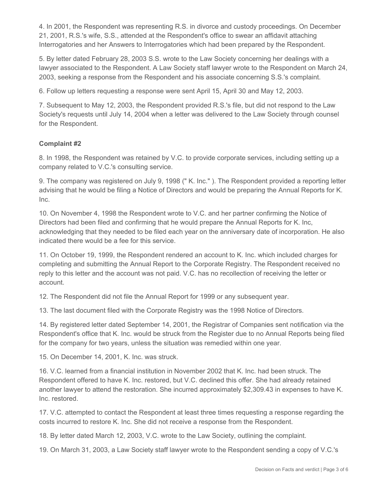4. In 2001, the Respondent was representing R.S. in divorce and custody proceedings. On December 21, 2001, R.S.'s wife, S.S., attended at the Respondent's office to swear an affidavit attaching Interrogatories and her Answers to Interrogatories which had been prepared by the Respondent.

5. By letter dated February 28, 2003 S.S. wrote to the Law Society concerning her dealings with a lawyer associated to the Respondent. A Law Society staff lawyer wrote to the Respondent on March 24, 2003, seeking a response from the Respondent and his associate concerning S.S.'s complaint.

6. Follow up letters requesting a response were sent April 15, April 30 and May 12, 2003.

7. Subsequent to May 12, 2003, the Respondent provided R.S.'s file, but did not respond to the Law Society's requests until July 14, 2004 when a letter was delivered to the Law Society through counsel for the Respondent.

#### **Complaint #2**

8. In 1998, the Respondent was retained by V.C. to provide corporate services, including setting up a company related to V.C.'s consulting service.

9. The company was registered on July 9, 1998 (" K. Inc." ). The Respondent provided a reporting letter advising that he would be filing a Notice of Directors and would be preparing the Annual Reports for K. Inc.

10. On November 4, 1998 the Respondent wrote to V.C. and her partner confirming the Notice of Directors had been filed and confirming that he would prepare the Annual Reports for K. Inc, acknowledging that they needed to be filed each year on the anniversary date of incorporation. He also indicated there would be a fee for this service.

11. On October 19, 1999, the Respondent rendered an account to K. Inc. which included charges for completing and submitting the Annual Report to the Corporate Registry. The Respondent received no reply to this letter and the account was not paid. V.C. has no recollection of receiving the letter or account.

12. The Respondent did not file the Annual Report for 1999 or any subsequent year.

13. The last document filed with the Corporate Registry was the 1998 Notice of Directors.

14. By registered letter dated September 14, 2001, the Registrar of Companies sent notification via the Respondent's office that K. Inc. would be struck from the Register due to no Annual Reports being filed for the company for two years, unless the situation was remedied within one year.

15. On December 14, 2001, K. Inc. was struck.

16. V.C. learned from a financial institution in November 2002 that K. Inc. had been struck. The Respondent offered to have K. Inc. restored, but V.C. declined this offer. She had already retained another lawyer to attend the restoration. She incurred approximately \$2,309.43 in expenses to have K. Inc. restored.

17. V.C. attempted to contact the Respondent at least three times requesting a response regarding the costs incurred to restore K. Inc. She did not receive a response from the Respondent.

18. By letter dated March 12, 2003, V.C. wrote to the Law Society, outlining the complaint.

19. On March 31, 2003, a Law Society staff lawyer wrote to the Respondent sending a copy of V.C.'s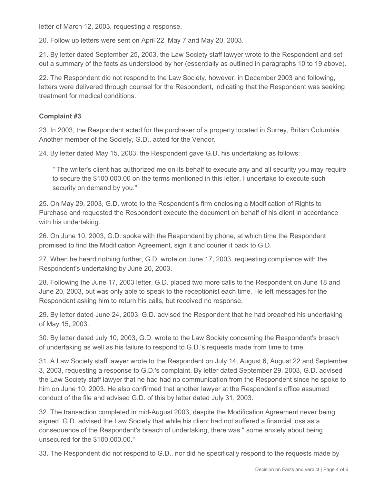letter of March 12, 2003, requesting a response.

20. Follow up letters were sent on April 22, May 7 and May 20, 2003.

21. By letter dated September 25, 2003, the Law Society staff lawyer wrote to the Respondent and set out a summary of the facts as understood by her (essentially as outlined in paragraphs 10 to 19 above).

22. The Respondent did not respond to the Law Society, however, in December 2003 and following, letters were delivered through counsel for the Respondent, indicating that the Respondent was seeking treatment for medical conditions.

## **Complaint #3**

23. In 2003, the Respondent acted for the purchaser of a property located in Surrey, British Columbia. Another member of the Society, G.D., acted for the Vendor.

24. By letter dated May 15, 2003, the Respondent gave G.D. his undertaking as follows:

" The writer's client has authorized me on its behalf to execute any and all security you may require to secure the \$100,000.00 on the terms mentioned in this letter. I undertake to execute such security on demand by you."

25. On May 29, 2003, G.D. wrote to the Respondent's firm enclosing a Modification of Rights to Purchase and requested the Respondent execute the document on behalf of his client in accordance with his undertaking.

26. On June 10, 2003, G.D. spoke with the Respondent by phone, at which time the Respondent promised to find the Modification Agreement, sign it and courier it back to G.D.

27. When he heard nothing further, G.D. wrote on June 17, 2003, requesting compliance with the Respondent's undertaking by June 20, 2003.

28. Following the June 17, 2003 letter, G.D. placed two more calls to the Respondent on June 18 and June 20, 2003, but was only able to speak to the receptionist each time. He left messages for the Respondent asking him to return his calls, but received no response.

29. By letter dated June 24, 2003, G.D. advised the Respondent that he had breached his undertaking of May 15, 2003.

30. By letter dated July 10, 2003, G.D. wrote to the Law Society concerning the Respondent's breach of undertaking as well as his failure to respond to G.D.'s requests made from time to time.

31. A Law Society staff lawyer wrote to the Respondent on July 14, August 6, August 22 and September 3, 2003, requesting a response to G.D.'s complaint. By letter dated September 29, 2003, G.D. advised the Law Society staff lawyer that he had had no communication from the Respondent since he spoke to him on June 10, 2003. He also confirmed that another lawyer at the Respondent's office assumed conduct of the file and advised G.D. of this by letter dated July 31, 2003.

32. The transaction completed in mid-August 2003, despite the Modification Agreement never being signed. G.D. advised the Law Society that while his client had not suffered a financial loss as a consequence of the Respondent's breach of undertaking, there was " some anxiety about being unsecured for the \$100,000.00."

33. The Respondent did not respond to G.D., nor did he specifically respond to the requests made by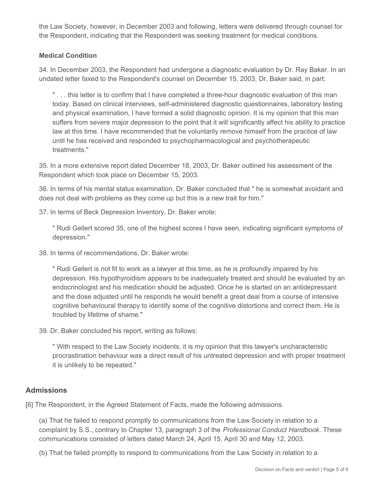the Law Society, however, in December 2003 and following, letters were delivered through counsel for the Respondent, indicating that the Respondent was seeking treatment for medical conditions.

## **Medical Condition**

34. In December 2003, the Respondent had undergone a diagnostic evaluation by Dr. Ray Baker. In an undated letter faxed to the Respondent's counsel on December 15, 2003, Dr. Baker said, in part:

" . . . this letter is to confirm that I have completed a three-hour diagnostic evaluation of this man today. Based on clinical interviews, self-administered diagnostic questionnaires, laboratory testing and physical examination, I have formed a solid diagnostic opinion. It is my opinion that this man suffers from severe major depression to the point that it will significantly affect his ability to practice law at this time. I have recommended that he voluntarily remove himself from the practice of law until he has received and responded to psychopharmacological and psychotherapeutic treatments."

35. In a more extensive report dated December 18, 2003, Dr. Baker outlined his assessment of the Respondent which took place on December 15, 2003.

36. In terms of his mental status examination, Dr. Baker concluded that " he is somewhat avoidant and does not deal with problems as they come up but this is a new trait for him."

37. In terms of Beck Depression Inventory, Dr. Baker wrote:

" Rudi Gellert scored 35, one of the highest scores I have seen, indicating significant symptoms of depression."

38. In terms of recommendations, Dr. Baker wrote:

" Rudi Gellert is not fit to work as a lawyer at this time, as he is profoundly impaired by his depression. His hypothyroidism appears to be inadequately treated and should be evaluated by an endocrinologist and his medication should be adjusted. Once he is started on an antidepressant and the dose adjusted until he responds he would benefit a great deal from a course of intensive cognitive behavioural therapy to identify some of the cognitive distortions and correct them. He is troubled by lifetime of shame."

39. Dr. Baker concluded his report, writing as follows:

" With respect to the Law Society incidents, it is my opinion that this lawyer's uncharacteristic procrastination behaviour was a direct result of his untreated depression and with proper treatment it is unlikely to be repeated."

## **Admissions**

[6] The Respondent, in the Agreed Statement of Facts, made the following admissions.

(a) That he failed to respond promptly to communications from the Law Society in relation to a complaint by S.S., contrary to Chapter 13, paragraph 3 of the *Professional Conduct Handbook*. These communications consisted of letters dated March 24, April 15, April 30 and May 12, 2003.

(b) That he failed promptly to respond to communications from the Law Society in relation to a